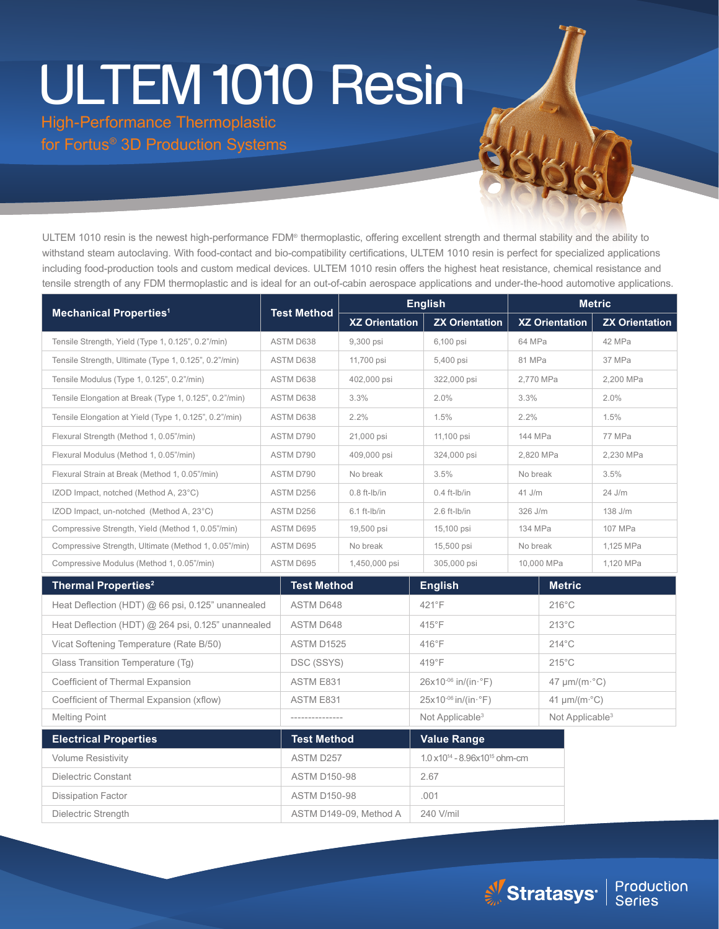# ULTEM 1010 Resin

Dissipation Factor **ASTM D150-98** .001 Dielectric Strength ASTM D149-09, Method A 240 V/mil

High-Performance Thermoplastic for Fortus® 3D Production Systems

ULTEM 1010 resin is the newest high-performance FDM® thermoplastic, offering excellent strength and thermal stability and the ability to withstand steam autoclaving. With food-contact and bio-compatibility certifications, ULTEM 1010 resin is perfect for specialized applications including food-production tools and custom medical devices. ULTEM 1010 resin offers the highest heat resistance, chemical resistance and tensile strength of any FDM thermoplastic and is ideal for an out-of-cabin aerospace applications and under-the-hood automotive applications.

| <b>Mechanical Properties<sup>1</sup></b>               |           |                     | <b>English</b>        |                                  |                                                      | <b>Metric</b>                  |                             |                       |
|--------------------------------------------------------|-----------|---------------------|-----------------------|----------------------------------|------------------------------------------------------|--------------------------------|-----------------------------|-----------------------|
|                                                        |           | <b>Test Method</b>  | <b>XZ Orientation</b> |                                  | <b>ZX Orientation</b>                                | <b>XZ Orientation</b>          |                             | <b>ZX Orientation</b> |
| Tensile Strength, Yield (Type 1, 0.125", 0.2"/min)     | ASTM D638 |                     | 9,300 psi             |                                  | 6,100 psi                                            | 64 MPa                         |                             | 42 MPa                |
| Tensile Strength, Ultimate (Type 1, 0.125", 0.2"/min)  | ASTM D638 |                     | 11,700 psi            |                                  | 5,400 psi                                            | 81 MPa                         |                             | 37 MPa                |
| Tensile Modulus (Type 1, 0.125", 0.2"/min)             | ASTM D638 |                     | 402,000 psi           |                                  | 322,000 psi                                          |                                | 2.770 MPa                   | 2.200 MPa             |
| Tensile Elongation at Break (Type 1, 0.125", 0.2"/min) | ASTM D638 |                     | 3.3%                  |                                  | 2.0%<br>3.3%                                         |                                |                             | 2.0%                  |
| Tensile Elongation at Yield (Type 1, 0.125", 0.2"/min) | ASTM D638 |                     | 2.2%                  |                                  | 1.5%<br>2.2%                                         |                                |                             | 1.5%                  |
| Flexural Strength (Method 1, 0.05"/min)                | ASTM D790 |                     | 21,000 psi            |                                  | 11,100 psi<br>144 MPa                                |                                |                             | 77 MPa                |
| Flexural Modulus (Method 1, 0.05"/min)                 | ASTM D790 |                     | 409,000 psi           |                                  | 324,000 psi                                          | 2,820 MPa                      |                             | 2,230 MPa             |
| Flexural Strain at Break (Method 1, 0.05"/min)         | ASTM D790 |                     | No break              | 3.5%                             |                                                      | No break                       |                             | 3.5%                  |
| IZOD Impact, notched (Method A, 23°C)                  | ASTM D256 |                     | $0.8$ ft-lb/in        |                                  | $0.4$ ft- $lb/in$                                    | $41$ J/m                       |                             | 24 J/m                |
| IZOD Impact, un-notched (Method A, 23°C)               | ASTM D256 |                     | 6.1 ft-Ib/in          |                                  | 2.6 ft-Ib/in                                         | 326 J/m                        |                             | 138 J/m               |
| Compressive Strength, Yield (Method 1, 0.05"/min)      | ASTM D695 |                     | 19,500 psi            | 15,100 psi                       |                                                      | 134 MPa                        |                             | 107 MPa               |
| Compressive Strength, Ultimate (Method 1, 0.05"/min)   | ASTM D695 |                     | No break              |                                  | 15,500 psi                                           | No break                       |                             | 1,125 MPa             |
| Compressive Modulus (Method 1, 0.05"/min)              |           | ASTM D695           | 1,450,000 psi         |                                  | 305,000 psi                                          |                                | 10,000 MPa                  | 1,120 MPa             |
| <b>Thermal Properties<sup>2</sup></b>                  |           | <b>Test Method</b>  |                       |                                  | <b>English</b>                                       |                                | <b>Metric</b>               |                       |
| Heat Deflection (HDT) @ 66 psi, 0.125" unannealed      |           | ASTM D648           |                       | 421°F                            |                                                      | $216^{\circ}$ C                |                             |                       |
| Heat Deflection (HDT) @ 264 psi, 0.125" unannealed     |           | <b>ASTM D648</b>    |                       | 415°F                            |                                                      | $213^{\circ}$ C                |                             |                       |
| Vicat Softening Temperature (Rate B/50)                |           | ASTM D1525          |                       | $416^{\circ}$ F                  |                                                      | $214^{\circ}$ C                |                             |                       |
| Glass Transition Temperature (Tq)                      |           | DSC (SSYS)          |                       | $419^{\circ}$ F                  |                                                      | $215^{\circ}$ C                |                             |                       |
| Coefficient of Thermal Expansion                       |           | ASTM E831           |                       | $26x10^{-06}$ in/(in $\cdot$ °F) |                                                      | $47 \mu m/(m \cdot ^{\circ}C)$ |                             |                       |
| Coefficient of Thermal Expansion (xflow)               |           | <b>ASTM E831</b>    |                       |                                  | $25x10^{-06}$ in/(in $\cdot$ °F)                     | 41 $\mu$ m/(m· $^{\circ}$ C)   |                             |                       |
| <b>Melting Point</b>                                   |           |                     |                       |                                  | Not Applicable <sup>3</sup>                          |                                | Not Applicable <sup>3</sup> |                       |
| <b>Electrical Properties</b>                           |           | <b>Test Method</b>  |                       |                                  | <b>Value Range</b>                                   |                                |                             |                       |
| <b>Volume Resistivity</b>                              |           | ASTM D257           |                       |                                  | 1.0 x10 <sup>14</sup> - 8.96x10 <sup>15</sup> ohm-cm |                                |                             |                       |
| Dielectric Constant                                    |           | <b>ASTM D150-98</b> |                       |                                  | 2.67                                                 |                                |                             |                       |

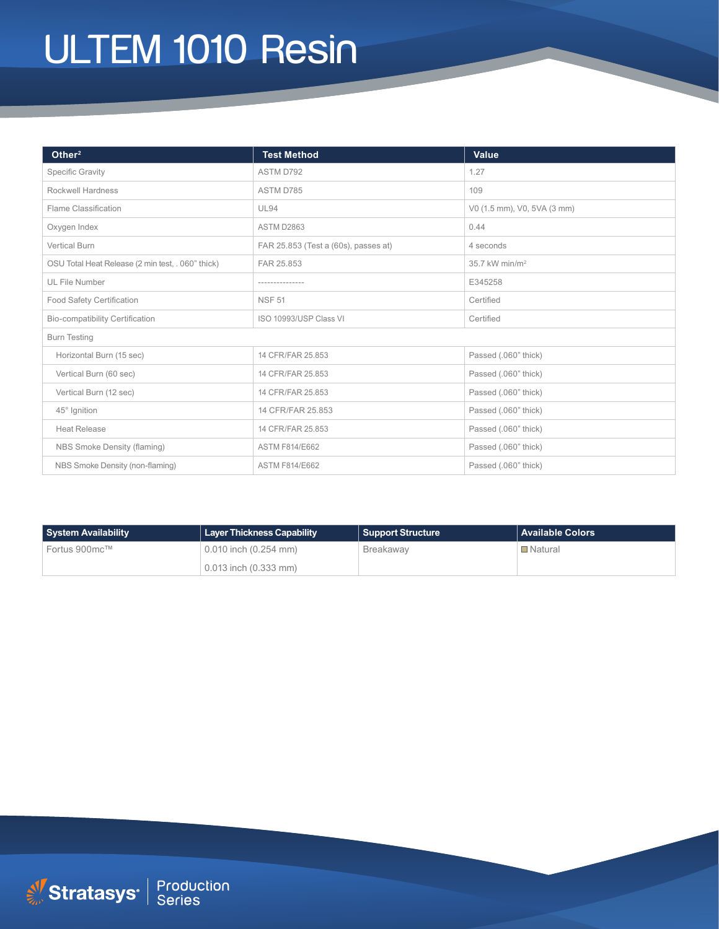# ULTEM 1010 Resin

| Other <sup>2</sup>                                | <b>Test Method</b>                   | Value                       |  |  |  |  |  |
|---------------------------------------------------|--------------------------------------|-----------------------------|--|--|--|--|--|
| <b>Specific Gravity</b>                           | ASTM D792                            | 1.27                        |  |  |  |  |  |
| <b>Rockwell Hardness</b>                          | ASTM D785                            | 109                         |  |  |  |  |  |
| Flame Classification                              | <b>UL94</b>                          | V0 (1.5 mm), V0, 5VA (3 mm) |  |  |  |  |  |
| Oxygen Index                                      | ASTM D2863                           | 0.44                        |  |  |  |  |  |
| <b>Vertical Burn</b>                              | FAR 25.853 (Test a (60s), passes at) | 4 seconds                   |  |  |  |  |  |
| OSU Total Heat Release (2 min test, . 060" thick) | FAR 25.853                           | 35.7 kW min/m <sup>2</sup>  |  |  |  |  |  |
| UL File Number                                    | --------------                       | E345258                     |  |  |  |  |  |
| <b>Food Safety Certification</b>                  | <b>NSF 51</b>                        | Certified                   |  |  |  |  |  |
| <b>Bio-compatibility Certification</b>            | ISO 10993/USP Class VI               | Certified                   |  |  |  |  |  |
| <b>Burn Testing</b>                               |                                      |                             |  |  |  |  |  |
| Horizontal Burn (15 sec)                          | 14 CFR/FAR 25.853                    | Passed (.060" thick)        |  |  |  |  |  |
| Vertical Burn (60 sec)                            | 14 CFR/FAR 25.853                    | Passed (.060" thick)        |  |  |  |  |  |
| Vertical Burn (12 sec)                            | 14 CFR/FAR 25.853                    | Passed (.060" thick)        |  |  |  |  |  |
| 45° Ignition                                      | 14 CFR/FAR 25.853                    | Passed (.060" thick)        |  |  |  |  |  |
| <b>Heat Release</b>                               | 14 CFR/FAR 25.853                    | Passed (.060" thick)        |  |  |  |  |  |
| NBS Smoke Density (flaming)                       | <b>ASTM F814/E662</b>                | Passed (.060" thick)        |  |  |  |  |  |
| NBS Smoke Density (non-flaming)                   | <b>ASTM F814/E662</b>                | Passed (.060" thick)        |  |  |  |  |  |

| System Availability | Layer Thickness Capability | <b>Support Structure</b> | Available Colors |
|---------------------|----------------------------|--------------------------|------------------|
| Fortus 900mc™       | $0.010$ inch $(0.254$ mm)  | Breakaway                | <b>□</b> Natural |
|                     | $0.013$ inch $(0.333$ mm)  |                          |                  |

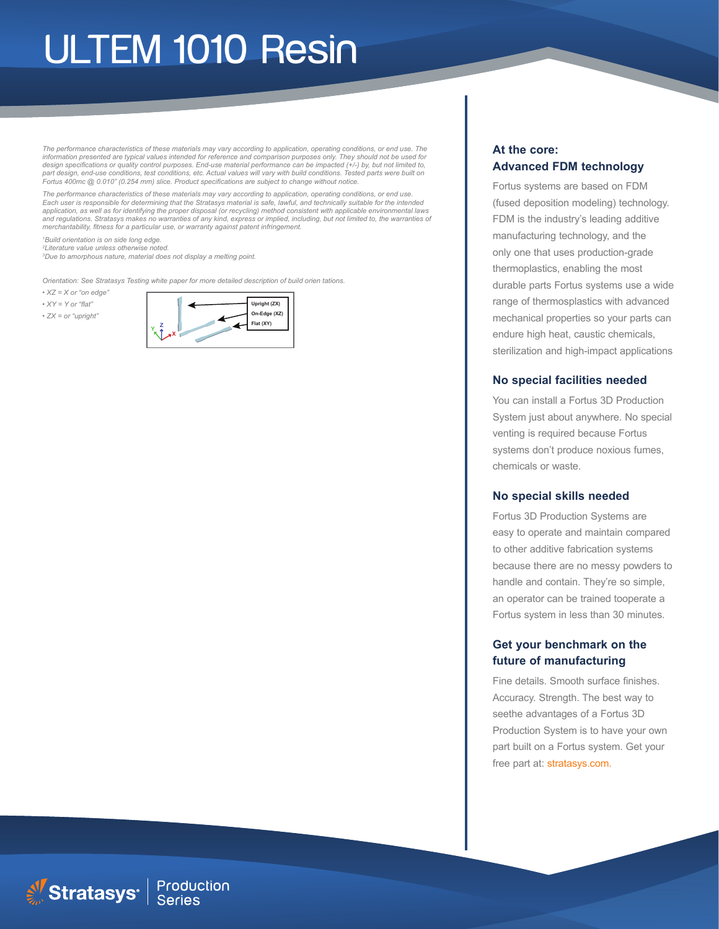## ULTEM 1010 Resin

*The performance characteristics of these materials may vary according to application, operating conditions, or end use. The*  information presented are typical values intended for reference and comparison purposes only. They should not be used for<br>design specifications or quality control purposes. End-use material performance can be impacted (+/*part design, end-use conditions, test conditions, etc. Actual values will vary with build conditions. Tested parts were built on Fortus 400mc @ 0.010" (0.254 mm) slice. Product specifications are subject to change without notice.*

*The performance characteristics of these materials may vary according to application, operating conditions, or end use.*  Each user is responsible for determining that the Stratasys material is safe, lawful, and technically suitable for the intended<br>application, as well as for identifying the proper disposal (or recycling) method consistent w and regulations. Stratasys makes no warranties of any kind, express or implied, including, but not limited to, the warranties of *merchantability, fitness for a particular use, or warranty against patent infringement.*

*1 Build orientation is on side long edge. 2 Literature value unless otherwise noted. 3 Due to amorphous nature, material does not display a melting point.*

Stratasys<sup>®</sup> Production

*Orientation: See Stratasys Testing white paper for more detailed description of build orien tations.*

*• XZ = X or "on edge"*

*• XY = Y or "flat" • ZX = or "upright"*



### **At the core: Advanced FDM technology**

Fortus systems are based on FDM (fused deposition modeling) technology. FDM is the industry's leading additive manufacturing technology, and the only one that uses production-grade thermoplastics, enabling the most durable parts Fortus systems use a wide range of thermosplastics with advanced mechanical properties so your parts can endure high heat, caustic chemicals, sterilization and high-impact applications

#### **No special facilities needed**

You can install a Fortus 3D Production System just about anywhere. No special venting is required because Fortus systems don't produce noxious fumes, chemicals or waste.

#### **No special skills needed**

Fortus 3D Production Systems are easy to operate and maintain compared to other additive fabrication systems because there are no messy powders to handle and contain. They're so simple, an operator can be trained tooperate a Fortus system in less than 30 minutes.

### **Get your benchmark on the future of manufacturing**

Fine details. Smooth surface finishes. Accuracy. Strength. The best way to seethe advantages of a Fortus 3D Production System is to have your own part built on a Fortus system. Get your free part at: stratasys.com.